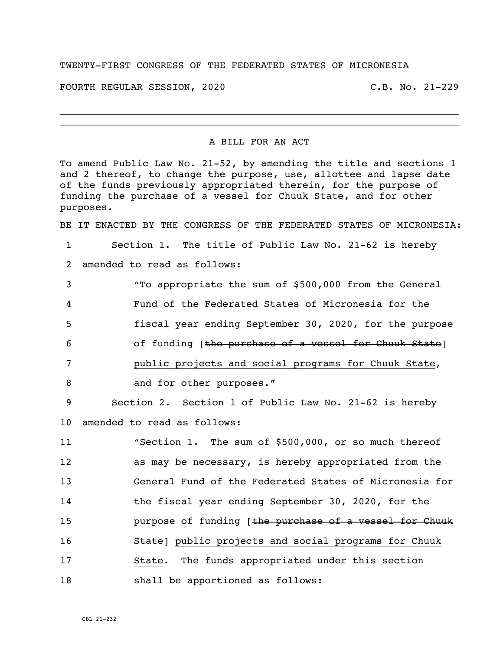## TWENTY-FIRST CONGRESS OF THE FEDERATED STATES OF MICRONESIA

FOURTH REGULAR SESSION, 2020 C.B. No. 21-229

## A BILL FOR AN ACT

To amend Public Law No. 21-52, by amending the title and sections 1 and 2 thereof, to change the purpose, use, allottee and lapse date of the funds previously appropriated therein, for the purpose of funding the purchase of a vessel for Chuuk State, and for other purposes.

BE IT ENACTED BY THE CONGRESS OF THE FEDERATED STATES OF MICRONESIA:

 Section 1. The title of Public Law No. 21-62 is hereby amended to read as follows:

 "To appropriate the sum of \$500,000 from the General Fund of the Federated States of Micronesia for the fiscal year ending September 30, 2020, for the purpose of funding [the purchase of a vessel for Chuuk State] public projects and social programs for Chuuk State,

8 and for other purposes."

 Section 2. Section 1 of Public Law No. 21-62 is hereby amended to read as follows:

 "Section 1. The sum of \$500,000, or so much thereof as may be necessary, is hereby appropriated from the General Fund of the Federated States of Micronesia for the fiscal year ending September 30, 2020, for the **purpose of funding (the purchase of a vessel for Chuuk State** [ public projects and social programs for Chuuk State. The funds appropriated under this section shall be apportioned as follows: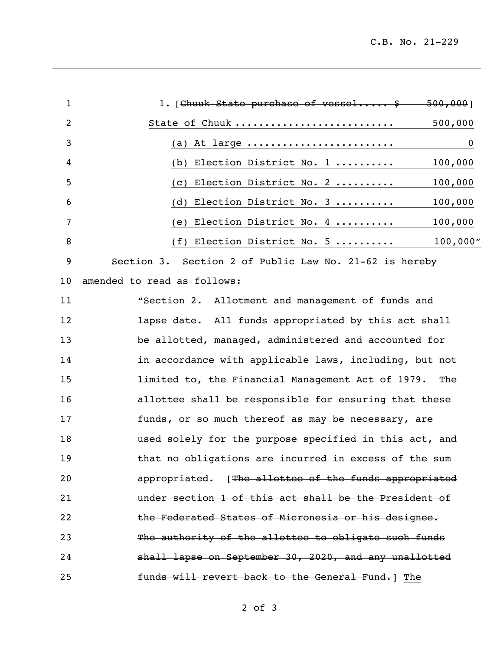C.B. No. 21-229

| $\mathbf{1}$ | 1. [Chuuk State purchase of vessel \$ 500,000]           |
|--------------|----------------------------------------------------------|
| 2            | State of Chuuk<br>500,000                                |
| 3            | $\overline{\phantom{0}}$                                 |
| 4            | 100,000<br>(b) Election District No. 1                   |
| 5            | (c) Election District No. 2<br>100,000                   |
| 6            | (d) Election District No. 3<br>100,000                   |
| 7            | (e) Election District No. 4<br>100,000                   |
| 8            | 100,000"<br>(f) Election District No. $5$                |
| 9            | Section 3. Section 2 of Public Law No. 21-62 is hereby   |
| 10           | amended to read as follows:                              |
| 11           | "Section 2. Allotment and management of funds and        |
| 12           | lapse date. All funds appropriated by this act shall     |
| 13           | be allotted, managed, administered and accounted for     |
| 14           | in accordance with applicable laws, including, but not   |
| 15           | limited to, the Financial Management Act of 1979.<br>The |
| 16           | allottee shall be responsible for ensuring that these    |
| 17           | funds, or so much thereof as may be necessary, are       |
| 18           | used solely for the purpose specified in this act, and   |
| 19           | that no obligations are incurred in excess of the sum    |
| 20           | appropriated. [The allottee of the funds appropriated    |
| 21           | under section 1 of this act shall be the President of    |
| 22           | the Federated States of Micronesia or his designee.      |
| 23           | The authority of the allottee to obligate such funds     |
| 24           | shall lapse on September 30, 2020, and any unallotted    |
|              |                                                          |

**funds will revert back to the General Fund.**] The

of 3